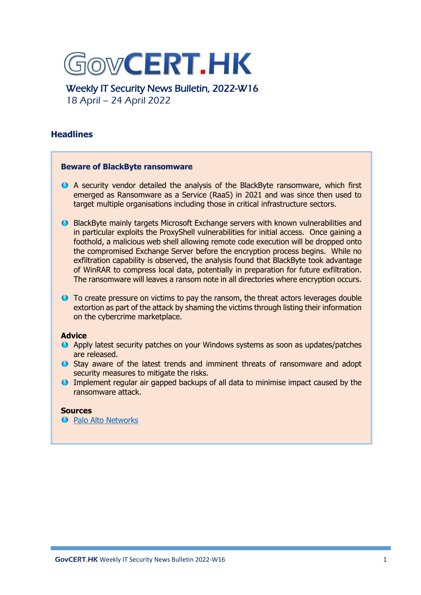

Weekly IT Security News Bulletin, 2022-W16 18 April – 24 April 2022

# **Headlines**

## **Beware of BlackByte ransomware**

- A security vendor detailed the analysis of the BlackByte ransomware, which first emerged as Ransomware as a Service (RaaS) in 2021 and was since then used to target multiple organisations including those in critical infrastructure sectors.
- **O** BlackByte mainly targets Microsoft Exchange servers with known vulnerabilities and in particular exploits the ProxyShell vulnerabilities for initial access. Once gaining a foothold, a malicious web shell allowing remote code execution will be dropped onto the compromised Exchange Server before the encryption process begins. While no exfiltration capability is observed, the analysis found that BlackByte took advantage of WinRAR to compress local data, potentially in preparation for future exfiltration. The ransomware will leaves a ransom note in all directories where encryption occurs.
- To create pressure on victims to pay the ransom, the threat actors leverages double extortion as part of the attack by shaming the victims through listing their information on the cybercrime marketplace.

### **Advice**

- Apply latest security patches on your Windows systems as soon as updates/patches are released.
- Stay aware of the latest trends and imminent threats of ransomware and adopt security measures to mitigate the risks.
- Implement regular air gapped backups of all data to minimise impact caused by the ransomware attack.

#### **Sources**

**O** [Palo Alto Networks](https://unit42.paloaltonetworks.com/blackbyte-ransomware/)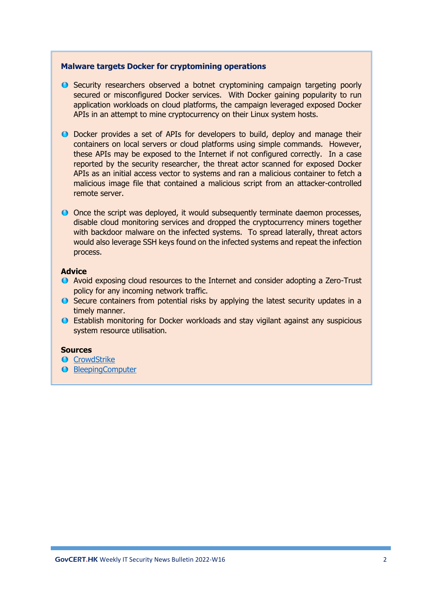# **Malware targets Docker for cryptomining operations**

- Security researchers observed a botnet cryptomining campaign targeting poorly secured or misconfigured Docker services. With Docker gaining popularity to run application workloads on cloud platforms, the campaign leveraged exposed Docker APIs in an attempt to mine cryptocurrency on their Linux system hosts.
- Docker provides a set of APIs for developers to build, deploy and manage their containers on local servers or cloud platforms using simple commands. However, these APIs may be exposed to the Internet if not configured correctly. In a case reported by the security researcher, the threat actor scanned for exposed Docker APIs as an initial access vector to systems and ran a malicious container to fetch a malicious image file that contained a malicious script from an attacker-controlled remote server.
- O Once the script was deployed, it would subsequently terminate daemon processes, disable cloud monitoring services and dropped the cryptocurrency miners together with backdoor malware on the infected systems. To spread laterally, threat actors would also leverage SSH keys found on the infected systems and repeat the infection process.

## **Advice**

- Avoid exposing cloud resources to the Internet and consider adopting a Zero-Trust policy for any incoming network traffic.
- $\bullet$  Secure containers from potential risks by applying the latest security updates in a timely manner.
- Establish monitoring for Docker workloads and stay vigilant against any suspicious system resource utilisation.

### **Sources**

- **O** [CrowdStrike](https://www.crowdstrike.com/blog/lemonduck-botnet-targets-docker-for-cryptomining-operations/)
- **[BleepingComputer](https://www.bleepingcomputer.com/news/security/docker-servers-hacked-in-ongoing-cryptomining-malware-campaign/)**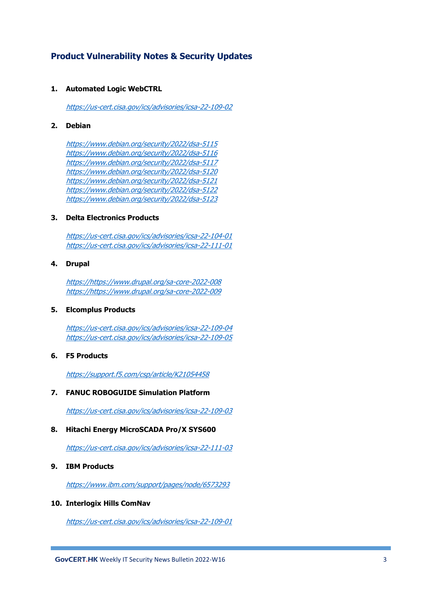# **Product Vulnerability Notes & Security Updates**

## **1. Automated Logic WebCTRL**

<https://us-cert.cisa.gov/ics/advisories/icsa-22-109-02>

#### **2. Debian**

<https://www.debian.org/security/2022/dsa-5115> <https://www.debian.org/security/2022/dsa-5116> <https://www.debian.org/security/2022/dsa-5117> <https://www.debian.org/security/2022/dsa-5120> <https://www.debian.org/security/2022/dsa-5121> <https://www.debian.org/security/2022/dsa-5122> <https://www.debian.org/security/2022/dsa-5123>

#### **3. Delta Electronics Products**

<https://us-cert.cisa.gov/ics/advisories/icsa-22-104-01> <https://us-cert.cisa.gov/ics/advisories/icsa-22-111-01>

#### **4. Drupal**

[https://https://www.drupal.org/sa-core-2022-008](https://https/www.drupal.org/sa-core-2022-008) [https://https://www.drupal.org/sa-core-2022-009](https://https/www.drupal.org/sa-core-2022-009)

#### **5. Elcomplus Products**

<https://us-cert.cisa.gov/ics/advisories/icsa-22-109-04> <https://us-cert.cisa.gov/ics/advisories/icsa-22-109-05>

#### **6. F5 Products**

<https://support.f5.com/csp/article/K21054458>

#### **7. FANUC ROBOGUIDE Simulation Platform**

<https://us-cert.cisa.gov/ics/advisories/icsa-22-109-03>

### **8. Hitachi Energy MicroSCADA Pro/X SYS600**

<https://us-cert.cisa.gov/ics/advisories/icsa-22-111-03>

#### **9. IBM Products**

<https://www.ibm.com/support/pages/node/6573293>

#### **10. Interlogix Hills ComNav**

<https://us-cert.cisa.gov/ics/advisories/icsa-22-109-01>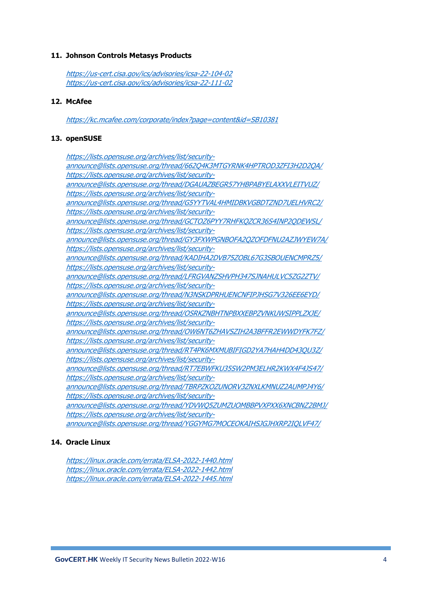#### **11. Johnson Controls Metasys Products**

<https://us-cert.cisa.gov/ics/advisories/icsa-22-104-02> <https://us-cert.cisa.gov/ics/advisories/icsa-22-111-02>

#### **12. McAfee**

<https://kc.mcafee.com/corporate/index?page=content&id=SB10381>

#### **13. openSUSE**

[https://lists.opensuse.org/archives/list/security](https://lists.opensuse.org/archives/list/security-announce@lists.opensuse.org/thread/662Q4K3MTGYRNK4HPTROD3ZFI3H2D2QA/)[announce@lists.opensuse.org/thread/662Q4K3MTGYRNK4HPTROD3ZFI3H2D2QA/](https://lists.opensuse.org/archives/list/security-announce@lists.opensuse.org/thread/662Q4K3MTGYRNK4HPTROD3ZFI3H2D2QA/) [https://lists.opensuse.org/archives/list/security](https://lists.opensuse.org/archives/list/security-announce@lists.opensuse.org/thread/DGAUAZBEGR57YHBPABYELAXXVLEITVUZ/)[announce@lists.opensuse.org/thread/DGAUAZBEGR57YHBPABYELAXXVLEITVUZ/](https://lists.opensuse.org/archives/list/security-announce@lists.opensuse.org/thread/DGAUAZBEGR57YHBPABYELAXXVLEITVUZ/) [https://lists.opensuse.org/archives/list/security](https://lists.opensuse.org/archives/list/security-announce@lists.opensuse.org/thread/G5YYTVAL4HMIDBKVGBDTZND7UELHVRC2/)[announce@lists.opensuse.org/thread/G5YYTVAL4HMIDBKVGBDTZND7UELHVRC2/](https://lists.opensuse.org/archives/list/security-announce@lists.opensuse.org/thread/G5YYTVAL4HMIDBKVGBDTZND7UELHVRC2/) [https://lists.opensuse.org/archives/list/security](https://lists.opensuse.org/archives/list/security-announce@lists.opensuse.org/thread/GCTOZ6PYY7RHFKQZCR36S4INP2QDEWSL/)[announce@lists.opensuse.org/thread/GCTOZ6PYY7RHFKQZCR36S4INP2QDEWSL/](https://lists.opensuse.org/archives/list/security-announce@lists.opensuse.org/thread/GCTOZ6PYY7RHFKQZCR36S4INP2QDEWSL/) [https://lists.opensuse.org/archives/list/security](https://lists.opensuse.org/archives/list/security-announce@lists.opensuse.org/thread/GY3FXWPGNBOFA2QZOFDFNU2AZJWYEW7A/)[announce@lists.opensuse.org/thread/GY3FXWPGNBOFA2QZOFDFNU2AZJWYEW7A/](https://lists.opensuse.org/archives/list/security-announce@lists.opensuse.org/thread/GY3FXWPGNBOFA2QZOFDFNU2AZJWYEW7A/) [https://lists.opensuse.org/archives/list/security](https://lists.opensuse.org/archives/list/security-announce@lists.opensuse.org/thread/KADIHA2DVB75ZOBL67G3SBOUENCMPRZ5/)[announce@lists.opensuse.org/thread/KADIHA2DVB75ZOBL67G3SBOUENCMPRZ5/](https://lists.opensuse.org/archives/list/security-announce@lists.opensuse.org/thread/KADIHA2DVB75ZOBL67G3SBOUENCMPRZ5/) [https://lists.opensuse.org/archives/list/security](https://lists.opensuse.org/archives/list/security-announce@lists.opensuse.org/thread/LFRGVANZSHVPH347SJNAHULVC5ZG2ZTV/)[announce@lists.opensuse.org/thread/LFRGVANZSHVPH347SJNAHULVC5ZG2ZTV/](https://lists.opensuse.org/archives/list/security-announce@lists.opensuse.org/thread/LFRGVANZSHVPH347SJNAHULVC5ZG2ZTV/) [https://lists.opensuse.org/archives/list/security](https://lists.opensuse.org/archives/list/security-announce@lists.opensuse.org/thread/N3NSKDPRHUENCNFIPJHSG7V326EE6EYD/)[announce@lists.opensuse.org/thread/N3NSKDPRHUENCNFIPJHSG7V326EE6EYD/](https://lists.opensuse.org/archives/list/security-announce@lists.opensuse.org/thread/N3NSKDPRHUENCNFIPJHSG7V326EE6EYD/) [https://lists.opensuse.org/archives/list/security](https://lists.opensuse.org/archives/list/security-announce@lists.opensuse.org/thread/OSRKZNBHTNPBXXEBPZVNKUWSIPPLZXJE/)[announce@lists.opensuse.org/thread/OSRKZNBHTNPBXXEBPZVNKUWSIPPLZXJE/](https://lists.opensuse.org/archives/list/security-announce@lists.opensuse.org/thread/OSRKZNBHTNPBXXEBPZVNKUWSIPPLZXJE/) [https://lists.opensuse.org/archives/list/security](https://lists.opensuse.org/archives/list/security-announce@lists.opensuse.org/thread/OW6NT6ZHAVSZIH2A3BFFR2EWWDYFK7FZ/)[announce@lists.opensuse.org/thread/OW6NT6ZHAVSZIH2A3BFFR2EWWDYFK7FZ/](https://lists.opensuse.org/archives/list/security-announce@lists.opensuse.org/thread/OW6NT6ZHAVSZIH2A3BFFR2EWWDYFK7FZ/) [https://lists.opensuse.org/archives/list/security](https://lists.opensuse.org/archives/list/security-announce@lists.opensuse.org/thread/RT4PK6MXMUBIFIGD2YA7HAH4DD43QU3Z/)[announce@lists.opensuse.org/thread/RT4PK6MXMUBIFIGD2YA7HAH4DD43QU3Z/](https://lists.opensuse.org/archives/list/security-announce@lists.opensuse.org/thread/RT4PK6MXMUBIFIGD2YA7HAH4DD43QU3Z/) [https://lists.opensuse.org/archives/list/security](https://lists.opensuse.org/archives/list/security-announce@lists.opensuse.org/thread/RT7EBWFKU35SW2PM3ELHR2KWX4F4JS47/)[announce@lists.opensuse.org/thread/RT7EBWFKU35SW2PM3ELHR2KWX4F4JS47/](https://lists.opensuse.org/archives/list/security-announce@lists.opensuse.org/thread/RT7EBWFKU35SW2PM3ELHR2KWX4F4JS47/) [https://lists.opensuse.org/archives/list/security](https://lists.opensuse.org/archives/list/security-announce@lists.opensuse.org/thread/TBRPZKOZUNORV3ZNXLKMNUZ2AUMPJ4Y6/)[announce@lists.opensuse.org/thread/TBRPZKOZUNORV3ZNXLKMNUZ2AUMPJ4Y6/](https://lists.opensuse.org/archives/list/security-announce@lists.opensuse.org/thread/TBRPZKOZUNORV3ZNXLKMNUZ2AUMPJ4Y6/) [https://lists.opensuse.org/archives/list/security](https://lists.opensuse.org/archives/list/security-announce@lists.opensuse.org/thread/YDVWQ5ZUMZUOMBBPVXPXX6XNCBNZ2BMJ/)[announce@lists.opensuse.org/thread/YDVWQ5ZUMZUOMBBPVXPXX6XNCBNZ2BMJ/](https://lists.opensuse.org/archives/list/security-announce@lists.opensuse.org/thread/YDVWQ5ZUMZUOMBBPVXPXX6XNCBNZ2BMJ/) [https://lists.opensuse.org/archives/list/security](https://lists.opensuse.org/archives/list/security-announce@lists.opensuse.org/thread/YGGYMG7MOCEOKAIHSJGJHXRP2IQLVF47/)[announce@lists.opensuse.org/thread/YGGYMG7MOCEOKAIHSJGJHXRP2IQLVF47/](https://lists.opensuse.org/archives/list/security-announce@lists.opensuse.org/thread/YGGYMG7MOCEOKAIHSJGJHXRP2IQLVF47/)

#### **14. Oracle Linux**

<https://linux.oracle.com/errata/ELSA-2022-1440.html> <https://linux.oracle.com/errata/ELSA-2022-1442.html> <https://linux.oracle.com/errata/ELSA-2022-1445.html>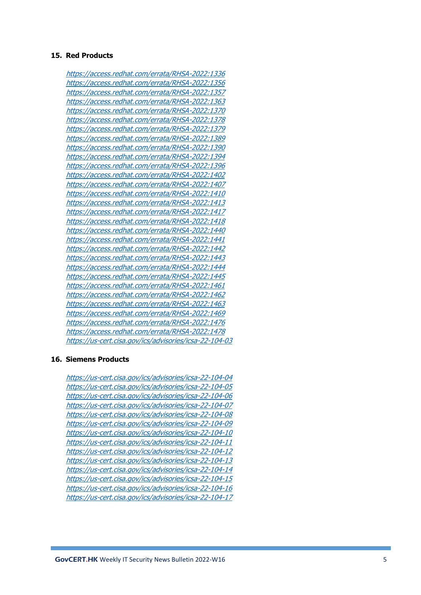#### **15. Red Products**

<https://access.redhat.com/errata/RHSA-2022:1336> <https://access.redhat.com/errata/RHSA-2022:1356> <https://access.redhat.com/errata/RHSA-2022:1357> <https://access.redhat.com/errata/RHSA-2022:1363> <https://access.redhat.com/errata/RHSA-2022:1370> <https://access.redhat.com/errata/RHSA-2022:1378> <https://access.redhat.com/errata/RHSA-2022:1379> <https://access.redhat.com/errata/RHSA-2022:1389> <https://access.redhat.com/errata/RHSA-2022:1390> <https://access.redhat.com/errata/RHSA-2022:1394> <https://access.redhat.com/errata/RHSA-2022:1396> <https://access.redhat.com/errata/RHSA-2022:1402> <https://access.redhat.com/errata/RHSA-2022:1407> <https://access.redhat.com/errata/RHSA-2022:1410> <https://access.redhat.com/errata/RHSA-2022:1413> <https://access.redhat.com/errata/RHSA-2022:1417> <https://access.redhat.com/errata/RHSA-2022:1418> <https://access.redhat.com/errata/RHSA-2022:1440> <https://access.redhat.com/errata/RHSA-2022:1441> <https://access.redhat.com/errata/RHSA-2022:1442> <https://access.redhat.com/errata/RHSA-2022:1443> <https://access.redhat.com/errata/RHSA-2022:1444> <https://access.redhat.com/errata/RHSA-2022:1445> <https://access.redhat.com/errata/RHSA-2022:1461> <https://access.redhat.com/errata/RHSA-2022:1462> <https://access.redhat.com/errata/RHSA-2022:1463> <https://access.redhat.com/errata/RHSA-2022:1469> <https://access.redhat.com/errata/RHSA-2022:1476> <https://access.redhat.com/errata/RHSA-2022:1478> <https://us-cert.cisa.gov/ics/advisories/icsa-22-104-03>

### **16. Siemens Products**

<https://us-cert.cisa.gov/ics/advisories/icsa-22-104-04> <https://us-cert.cisa.gov/ics/advisories/icsa-22-104-05> <https://us-cert.cisa.gov/ics/advisories/icsa-22-104-06> <https://us-cert.cisa.gov/ics/advisories/icsa-22-104-07> <https://us-cert.cisa.gov/ics/advisories/icsa-22-104-08> <https://us-cert.cisa.gov/ics/advisories/icsa-22-104-09> <https://us-cert.cisa.gov/ics/advisories/icsa-22-104-10> <https://us-cert.cisa.gov/ics/advisories/icsa-22-104-11> <https://us-cert.cisa.gov/ics/advisories/icsa-22-104-12> <https://us-cert.cisa.gov/ics/advisories/icsa-22-104-13> <https://us-cert.cisa.gov/ics/advisories/icsa-22-104-14> <https://us-cert.cisa.gov/ics/advisories/icsa-22-104-15> <https://us-cert.cisa.gov/ics/advisories/icsa-22-104-16> <https://us-cert.cisa.gov/ics/advisories/icsa-22-104-17>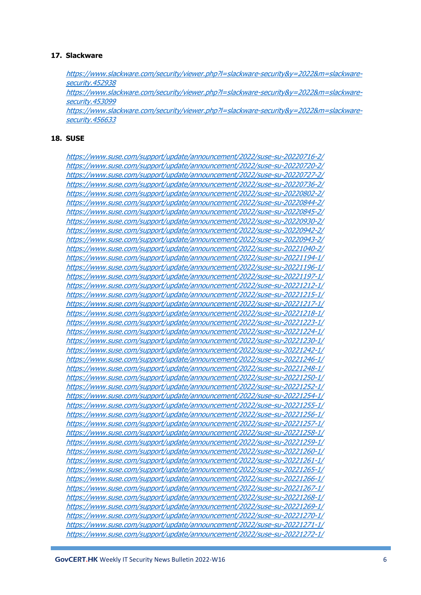## **17. Slackware**

[https://www.slackware.com/security/viewer.php?l=slackware-security&y=2022&m=slackware](https://www.slackware.com/security/viewer.php?l=slackware-security&y=2022&m=slackware-security.452938)[security.452938](https://www.slackware.com/security/viewer.php?l=slackware-security&y=2022&m=slackware-security.452938)

[https://www.slackware.com/security/viewer.php?l=slackware-security&y=2022&m=slackware](https://www.slackware.com/security/viewer.php?l=slackware-security&y=2022&m=slackware-security.453099)[security.453099](https://www.slackware.com/security/viewer.php?l=slackware-security&y=2022&m=slackware-security.453099)

[https://www.slackware.com/security/viewer.php?l=slackware-security&y=2022&m=slackware](https://www.slackware.com/security/viewer.php?l=slackware-security&y=2022&m=slackware-security.456633)[security.456633](https://www.slackware.com/security/viewer.php?l=slackware-security&y=2022&m=slackware-security.456633)

## **18. SUSE**

<https://www.suse.com/support/update/announcement/2022/suse-su-20220716-2/> <https://www.suse.com/support/update/announcement/2022/suse-su-20220720-2/> <https://www.suse.com/support/update/announcement/2022/suse-su-20220727-2/> <https://www.suse.com/support/update/announcement/2022/suse-su-20220736-2/> <https://www.suse.com/support/update/announcement/2022/suse-su-20220802-2/> <https://www.suse.com/support/update/announcement/2022/suse-su-20220844-2/> <https://www.suse.com/support/update/announcement/2022/suse-su-20220845-2/> <https://www.suse.com/support/update/announcement/2022/suse-su-20220930-2/> <https://www.suse.com/support/update/announcement/2022/suse-su-20220942-2/> <https://www.suse.com/support/update/announcement/2022/suse-su-20220943-2/> <https://www.suse.com/support/update/announcement/2022/suse-su-20221040-2/> <https://www.suse.com/support/update/announcement/2022/suse-su-20221194-1/> <https://www.suse.com/support/update/announcement/2022/suse-su-20221196-1/> <https://www.suse.com/support/update/announcement/2022/suse-su-20221197-1/> <https://www.suse.com/support/update/announcement/2022/suse-su-20221212-1/> <https://www.suse.com/support/update/announcement/2022/suse-su-20221215-1/> <https://www.suse.com/support/update/announcement/2022/suse-su-20221217-1/> <https://www.suse.com/support/update/announcement/2022/suse-su-20221218-1/> <https://www.suse.com/support/update/announcement/2022/suse-su-20221223-1/> <https://www.suse.com/support/update/announcement/2022/suse-su-20221224-1/> <https://www.suse.com/support/update/announcement/2022/suse-su-20221230-1/> <https://www.suse.com/support/update/announcement/2022/suse-su-20221242-1/> <https://www.suse.com/support/update/announcement/2022/suse-su-20221246-1/> <https://www.suse.com/support/update/announcement/2022/suse-su-20221248-1/> <https://www.suse.com/support/update/announcement/2022/suse-su-20221250-1/> <https://www.suse.com/support/update/announcement/2022/suse-su-20221252-1/> <https://www.suse.com/support/update/announcement/2022/suse-su-20221254-1/> <https://www.suse.com/support/update/announcement/2022/suse-su-20221255-1/> <https://www.suse.com/support/update/announcement/2022/suse-su-20221256-1/> <https://www.suse.com/support/update/announcement/2022/suse-su-20221257-1/> <https://www.suse.com/support/update/announcement/2022/suse-su-20221258-1/> <https://www.suse.com/support/update/announcement/2022/suse-su-20221259-1/> <https://www.suse.com/support/update/announcement/2022/suse-su-20221260-1/> <https://www.suse.com/support/update/announcement/2022/suse-su-20221261-1/> <https://www.suse.com/support/update/announcement/2022/suse-su-20221265-1/> <https://www.suse.com/support/update/announcement/2022/suse-su-20221266-1/> <https://www.suse.com/support/update/announcement/2022/suse-su-20221267-1/> <https://www.suse.com/support/update/announcement/2022/suse-su-20221268-1/> <https://www.suse.com/support/update/announcement/2022/suse-su-20221269-1/> <https://www.suse.com/support/update/announcement/2022/suse-su-20221270-1/> <https://www.suse.com/support/update/announcement/2022/suse-su-20221271-1/> <https://www.suse.com/support/update/announcement/2022/suse-su-20221272-1/>